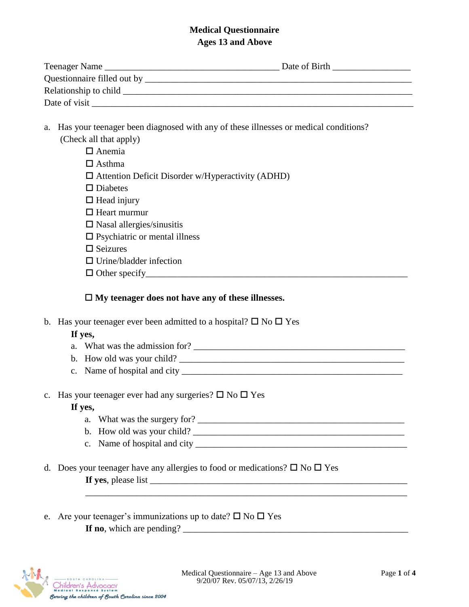## **Medical Questionnaire Ages 13 and Above**

| Teenager Name                   | Date of Birth |
|---------------------------------|---------------|
| Questionnaire filled out by ___ |               |
| Relationship to child           |               |
| Date of visit                   |               |

a. Has your teenager been diagnosed with any of these illnesses or medical conditions? (Check all that apply)

| $\Box$ Anemia                                            |
|----------------------------------------------------------|
| $\Box$ Asthma                                            |
| $\Box$ Attention Deficit Disorder w/Hyperactivity (ADHD) |
| $\square$ Diabetes                                       |
| $\Box$ Head injury                                       |
| $\Box$ Heart murmur                                      |
| $\Box$ Nasal allergies/sinusitis                         |
| $\Box$ Psychiatric or mental illness                     |
| $\Box$ Seizures                                          |
| $\Box$ Urine/bladder infection                           |
| $\Box$ Other specify                                     |

## **My teenager does not have any of these illnesses.**

b. Has your teenager ever been admitted to a hospital?  $\square$  No  $\square$  Yes

# **If yes,**

- a. What was the admission for?
- b. How old was your child?
- c. Name of hospital and city \_\_\_\_\_\_\_\_\_\_\_\_\_\_\_\_\_\_\_\_\_\_\_\_\_\_\_\_\_\_\_\_\_\_\_\_\_\_\_\_\_\_\_\_\_\_\_\_
- c. Has your teenager ever had any surgeries?  $\square$  No  $\square$  Yes

# **If yes,**

- a. What was the surgery for?  $\Box$
- b. How old was your child?
- c. Name of hospital and city \_\_\_\_\_\_\_\_\_\_\_\_\_\_\_\_\_\_\_\_\_\_\_\_\_\_\_\_\_\_\_\_\_\_\_\_\_\_\_\_\_\_\_\_\_\_

\_\_\_\_\_\_\_\_\_\_\_\_\_\_\_\_\_\_\_\_\_\_\_\_\_\_\_\_\_\_\_\_\_\_\_\_\_\_\_\_\_\_\_\_\_\_\_\_\_\_\_\_\_\_\_\_\_\_\_\_\_\_\_\_\_\_\_\_\_\_

- d. Does your teenager have any allergies to food or medications?  $\Box$  No  $\Box$  Yes **If yes**, please list \_\_\_\_\_\_\_\_\_\_\_\_\_\_\_\_\_\_\_\_\_\_\_\_\_\_\_\_\_\_\_\_\_\_\_\_\_\_\_\_\_\_\_\_\_\_\_\_\_\_\_\_\_\_\_\_
- e. Are your teenager's immunizations up to date?  $\square$  No  $\square$  Yes **If no**, which are pending? \_\_\_\_\_\_\_\_\_\_\_\_\_\_\_\_\_\_\_\_\_\_\_\_\_\_\_\_\_\_\_\_\_\_\_\_\_\_\_\_\_\_\_\_\_\_\_\_\_

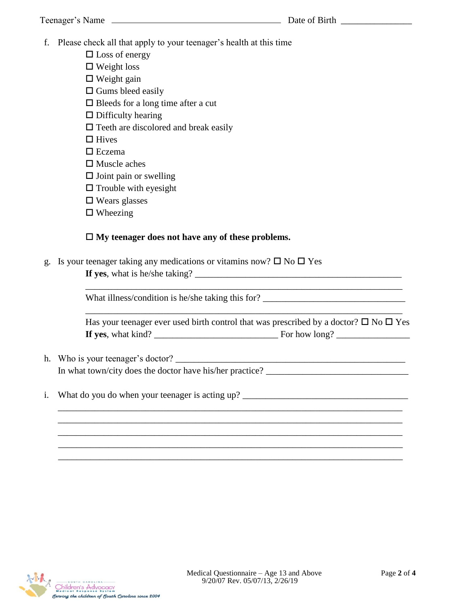f. Please check all that apply to your teenager's health at this time

 $\square$  Loss of energy  $\Box$  Weight loss  $\Box$  Weight gain  $\square$  Gums bleed easily

 $\square$  Bleeds for a long time after a cut

 $\square$  Difficulty hearing

 $\Box$  Teeth are discolored and break easily

 $\Box$  Hives

 $\square$  Eczema

 $\square$  Muscle aches

 $\square$  Joint pain or swelling

 $\Box$  Trouble with eyesight

 $\square$  Wears glasses

 $\square$  Wheezing

## **My teenager does not have any of these problems.**

g. Is your teenager taking any medications or vitamins now?  $\Box$  No  $\Box$  Yes

**If yes**, what is he/she taking? \_\_\_\_\_\_\_\_\_\_\_\_\_\_\_\_\_\_\_\_\_\_\_\_\_\_\_\_\_\_\_\_\_\_\_\_\_\_\_\_\_\_\_\_\_

What illness/condition is he/she taking this for?

Has your teenager ever used birth control that was prescribed by a doctor?  $\Box$  No  $\Box$  Yes **If yes**, what kind? \_\_\_\_\_\_\_\_\_\_\_\_\_\_\_\_\_\_\_\_\_\_\_\_\_\_\_ For how long? \_\_\_\_\_\_\_\_\_\_\_\_\_\_\_\_

\_\_\_\_\_\_\_\_\_\_\_\_\_\_\_\_\_\_\_\_\_\_\_\_\_\_\_\_\_\_\_\_\_\_\_\_\_\_\_\_\_\_\_\_\_\_\_\_\_\_\_\_\_\_\_\_\_\_\_\_\_\_\_\_\_\_\_\_\_

\_\_\_\_\_\_\_\_\_\_\_\_\_\_\_\_\_\_\_\_\_\_\_\_\_\_\_\_\_\_\_\_\_\_\_\_\_\_\_\_\_\_\_\_\_\_\_\_\_\_\_\_\_\_\_\_\_\_\_\_\_\_\_\_\_\_\_\_\_\_\_\_\_\_\_ \_\_\_\_\_\_\_\_\_\_\_\_\_\_\_\_\_\_\_\_\_\_\_\_\_\_\_\_\_\_\_\_\_\_\_\_\_\_\_\_\_\_\_\_\_\_\_\_\_\_\_\_\_\_\_\_\_\_\_\_\_\_\_\_\_\_\_\_\_\_\_\_\_\_\_ \_\_\_\_\_\_\_\_\_\_\_\_\_\_\_\_\_\_\_\_\_\_\_\_\_\_\_\_\_\_\_\_\_\_\_\_\_\_\_\_\_\_\_\_\_\_\_\_\_\_\_\_\_\_\_\_\_\_\_\_\_\_\_\_\_\_\_\_\_\_\_\_\_\_\_ \_\_\_\_\_\_\_\_\_\_\_\_\_\_\_\_\_\_\_\_\_\_\_\_\_\_\_\_\_\_\_\_\_\_\_\_\_\_\_\_\_\_\_\_\_\_\_\_\_\_\_\_\_\_\_\_\_\_\_\_\_\_\_\_\_\_\_\_\_\_\_\_\_\_\_ \_\_\_\_\_\_\_\_\_\_\_\_\_\_\_\_\_\_\_\_\_\_\_\_\_\_\_\_\_\_\_\_\_\_\_\_\_\_\_\_\_\_\_\_\_\_\_\_\_\_\_\_\_\_\_\_\_\_\_\_\_\_\_\_\_\_\_\_\_\_\_\_\_\_\_

- h. Who is your teenager's doctor? \_\_\_\_\_\_\_\_\_\_\_\_\_\_\_\_\_\_\_\_\_\_\_\_\_\_\_\_\_\_\_\_\_\_\_\_\_\_\_\_\_\_\_\_\_\_\_\_\_\_ In what town/city does the doctor have his/her practice?
- i. What do you do when your teenager is acting up? \_\_\_\_\_\_\_\_\_\_\_\_\_\_\_\_\_\_\_\_\_\_\_\_\_\_\_\_\_\_

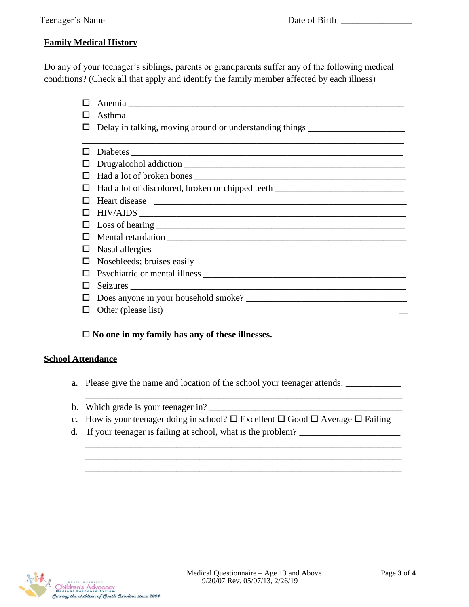## **Family Medical History**

Do any of your teenager's siblings, parents or grandparents suffer any of the following medical conditions? (Check all that apply and identify the family member affected by each illness)

- Anemia \_\_\_\_\_\_\_\_\_\_\_\_\_\_\_\_\_\_\_\_\_\_\_\_\_\_\_\_\_\_\_\_\_\_\_\_\_\_\_\_\_\_\_\_\_\_\_\_\_\_\_\_\_\_\_\_\_\_\_\_
- $\Box$  Asthma
- $\Box$  Delay in talking, moving around or understanding things

|   | Drug/alcohol addiction                                                                                                                                                                                                               |
|---|--------------------------------------------------------------------------------------------------------------------------------------------------------------------------------------------------------------------------------------|
| ப |                                                                                                                                                                                                                                      |
|   |                                                                                                                                                                                                                                      |
|   | Heart disease <u>experience and the set of the set of the set of the set of the set of the set of the set of the set of the set of the set of the set of the set of the set of the set of the set of the set of the set of the s</u> |
|   |                                                                                                                                                                                                                                      |
|   |                                                                                                                                                                                                                                      |
|   |                                                                                                                                                                                                                                      |
|   |                                                                                                                                                                                                                                      |
|   |                                                                                                                                                                                                                                      |
|   |                                                                                                                                                                                                                                      |
| ப |                                                                                                                                                                                                                                      |
|   |                                                                                                                                                                                                                                      |
|   | $\Box$ Other (please list) $\Box$                                                                                                                                                                                                    |

## **No one in my family has any of these illnesses.**

## **School Attendance**

a. Please give the name and location of the school your teenager attends: \_\_\_\_\_\_\_\_\_\_\_\_\_

\_\_\_\_\_\_\_\_\_\_\_\_\_\_\_\_\_\_\_\_\_\_\_\_\_\_\_\_\_\_\_\_\_\_\_\_\_\_\_\_\_\_\_\_\_\_\_\_\_\_\_\_\_\_\_\_\_\_\_\_\_\_\_\_\_\_\_\_\_

\_\_\_\_\_\_\_\_\_\_\_\_\_\_\_\_\_\_\_\_\_\_\_\_\_\_\_\_\_\_\_\_\_\_\_\_\_\_\_\_\_\_\_\_\_\_\_\_\_\_\_\_\_\_\_\_\_\_\_\_\_\_\_\_\_\_\_\_\_ \_\_\_\_\_\_\_\_\_\_\_\_\_\_\_\_\_\_\_\_\_\_\_\_\_\_\_\_\_\_\_\_\_\_\_\_\_\_\_\_\_\_\_\_\_\_\_\_\_\_\_\_\_\_\_\_\_\_\_\_\_\_\_\_\_\_\_\_\_ \_\_\_\_\_\_\_\_\_\_\_\_\_\_\_\_\_\_\_\_\_\_\_\_\_\_\_\_\_\_\_\_\_\_\_\_\_\_\_\_\_\_\_\_\_\_\_\_\_\_\_\_\_\_\_\_\_\_\_\_\_\_\_\_\_\_\_\_\_ \_\_\_\_\_\_\_\_\_\_\_\_\_\_\_\_\_\_\_\_\_\_\_\_\_\_\_\_\_\_\_\_\_\_\_\_\_\_\_\_\_\_\_\_\_\_\_\_\_\_\_\_\_\_\_\_\_\_\_\_\_\_\_\_\_\_\_\_\_

- b. Which grade is your teenager in?
- c. How is your teenager doing in school?  $\square$  Excellent  $\square$  Good  $\square$  Average  $\square$  Failing
- d. If your teenager is failing at school, what is the problem?